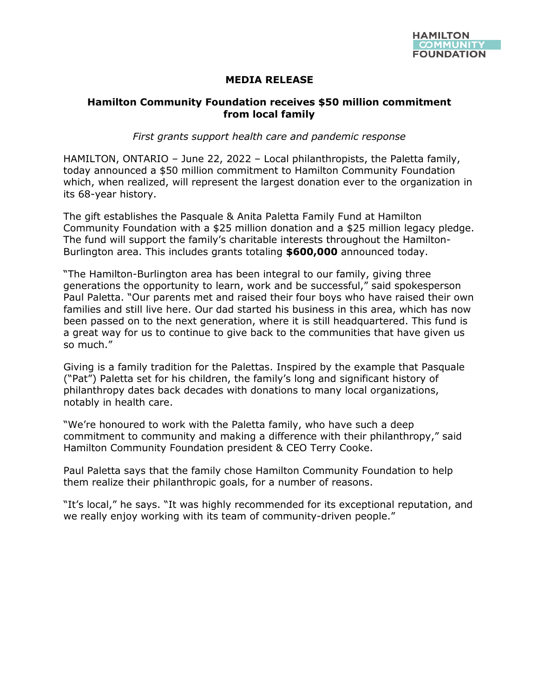

## **MEDIA RELEASE**

## **Hamilton Community Foundation receives \$50 million commitment from local family**

*First grants support health care and pandemic response*

HAMILTON, ONTARIO – June 22, 2022 – Local philanthropists, the Paletta family, today announced a \$50 million commitment to Hamilton Community Foundation which, when realized, will represent the largest donation ever to the organization in its 68-year history.

The gift establishes the Pasquale & Anita Paletta Family Fund at Hamilton Community Foundation with a \$25 million donation and a \$25 million legacy pledge. The fund will support the family's charitable interests throughout the Hamilton-Burlington area. This includes grants totaling **\$600,000** announced today.

"The Hamilton-Burlington area has been integral to our family, giving three generations the opportunity to learn, work and be successful," said spokesperson Paul Paletta. "Our parents met and raised their four boys who have raised their own families and still live here. Our dad started his business in this area, which has now been passed on to the next generation, where it is still headquartered. This fund is a great way for us to continue to give back to the communities that have given us so much."

Giving is a family tradition for the Palettas. Inspired by the example that Pasquale ("Pat") Paletta set for his children, the family's long and significant history of philanthropy dates back decades with donations to many local organizations, notably in health care.

"We're honoured to work with the Paletta family, who have such a deep commitment to community and making a difference with their philanthropy," said Hamilton Community Foundation president & CEO Terry Cooke.

Paul Paletta says that the family chose Hamilton Community Foundation to help them realize their philanthropic goals, for a number of reasons.

"It's local," he says. "It was highly recommended for its exceptional reputation, and we really enjoy working with its team of community-driven people."